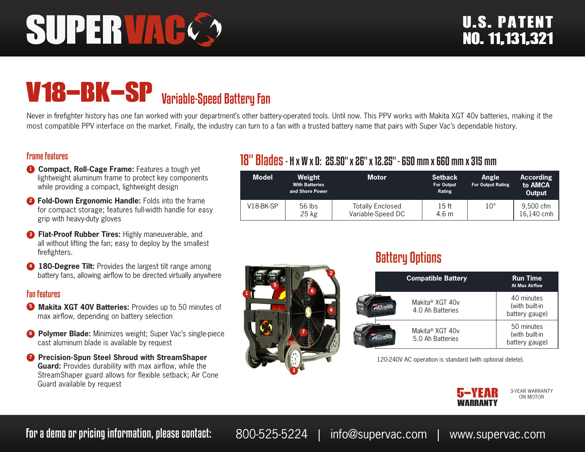# SUPERVAC

# V18-BK-SP Variable-Speed Battery Fan

Never in firefighter history has one fan worked with your department's other battery-operated tools. Until now. This PPV works with Makita XGT 40v batteries, making it the most compatible PPV interface on the market. Finally, the industry can turn to a fan with a trusted battery name that pairs with Super Vac's dependable history.

#### Frame Features

- **1 Compact, Roll-Cage Frame:** Features a tough yet lightweight aluminum frame to protect key components while providing a compact, lightweight design
- **<sup>2</sup> Fold-Down Ergonomic Handle:** Folds into the frame for compact storage; features full-width handle for easy grip with heavy-duty gloves
- **3 Flat-Proof Rubber Tires: Highly maneuverable, and** all without lifting the fan; easy to deploy by the smallest firefighters.
- **4 180-Degree Tilt:** Provides the largest tilt range among battery fans, allowing airflow to be directed virtually anywhere

#### Fan Features

- **3** Makita XGT 40V Batteries: Provides up to 50 minutes of max airflow, depending on battery selection
- **6 Polymer Blade:** Minimizes weight; Super Vac's single-piece cast aluminum blade is available by request
- *D* Precision-Spun Steel Shroud with StreamShaper **Guard:** Provides durability with max airflow, while the StreamShaper guard allows for flexible setback; Air Cone Guard available by request

# 18" Blades- H x W x D: 25.50" x 26" x 12.25" - 650 mm x 660 mm x 315 mm

| <b>Model</b> | Weight<br><b>With Batteries</b><br>and Shore Power | <b>Motor</b>                                 | <b>Setback</b><br><b>For Output</b><br>Rating | Angle<br><b>For Output Rating</b> | <b>According</b><br>to AMCA<br>Output |
|--------------|----------------------------------------------------|----------------------------------------------|-----------------------------------------------|-----------------------------------|---------------------------------------|
| $V18-BK-SP$  | $56$ lbs<br>25 kg                                  | <b>Totally Enclosed</b><br>Variable-Speed DC | 15 ft<br>4.6 <sub>m</sub>                     | $10^{\circ}$                      | 9,500 cfm<br>16.140 cmh               |



# Battery Options

| <b>Compatible Battery</b>           | <b>Run Time</b><br><b>At Max Airflow</b>       |
|-------------------------------------|------------------------------------------------|
| Makita® XGT 40v<br>4.0 Ah Batteries | 40 minutes<br>(with built-in<br>battery gauge) |
| Makita® XGT 40v<br>5.0 Ah Batteries | 50 minutes<br>(with built-in<br>battery gauge) |

120-240V AC operation is standard (with optional delete).



3-YEAR WARRANTY ON MOTOR

For a demo or pricing information, please contact: 800-525-5224 | info@supervac.com | www.supervac.com